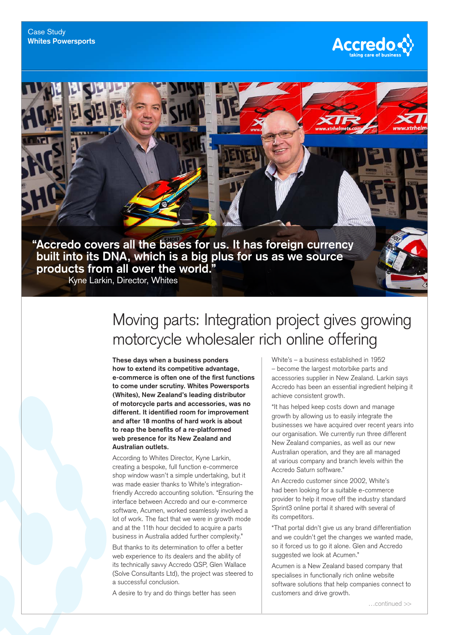

## Moving parts: Integration project gives growing motorcycle wholesaler rich online offering

**These days when a business ponders how to extend its competitive advantage, e-commerce is often one of the first functions to come under scrutiny. Whites Powersports (Whites), New Zealand's leading distributor of motorcycle parts and accessories, was no different. It identified room for improvement and after 18 months of hard work is about to reap the benefits of a re-platformed web presence for its New Zealand and Australian outlets.**

According to Whites Director, Kyne Larkin, creating a bespoke, full function e-commerce shop window wasn't a simple undertaking, but it was made easier thanks to White's integrationfriendly Accredo accounting solution. "Ensuring the interface between Accredo and our e-commerce software, Acumen, worked seamlessly involved a lot of work. The fact that we were in growth mode and at the 11th hour decided to acquire a parts business in Australia added further complexity."

But thanks to its determination to offer a better web experience to its dealers and the ability of its technically savvy Accredo QSP, Glen Wallace (Solve Consultants Ltd), the project was steered to a successful conclusion.

A desire to try and do things better has seen

White's – a business established in 1952 – become the largest motorbike parts and accessories supplier in New Zealand. Larkin says Accredo has been an essential ingredient helping it achieve consistent growth.

**Accredo** 

"It has helped keep costs down and manage growth by allowing us to easily integrate the businesses we have acquired over recent years into our organisation. We currently run three different New Zealand companies, as well as our new Australian operation, and they are all managed at various company and branch levels within the Accredo Saturn software."

An Accredo customer since 2002, White's had been looking for a suitable e-commerce provider to help it move off the industry standard Sprint3 online portal it shared with several of its competitors.

"That portal didn't give us any brand differentiation and we couldn't get the changes we wanted made, so it forced us to go it alone. Glen and Accredo suggested we look at Acumen."

Acumen is a New Zealand based company that specialises in functionally rich online website software solutions that help companies connect to customers and drive growth.